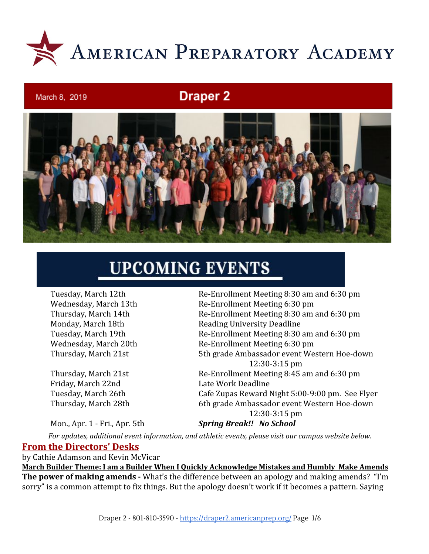

## **Draper 2**



# **UPCOMING EVENTS**

March 8, 2019

Friday, March 22nd Late Work Deadline

Mon., Apr. 1 - Fri., Apr. 5th *Spring Break!! No School*

Tuesday, March 12th Re-Enrollment Meeting 8:30 am and 6:30 pm Wednesday, March 13th Re-Enrollment Meeting 6:30 pm Thursday, March 14th Re-Enrollment Meeting 8:30 am and 6:30 pm Monday, March 18th Reading University Deadline Tuesday, March 19th Re-Enrollment Meeting 8:30 am and 6:30 pm Wednesday, March 20th Re-Enrollment Meeting 6:30 pm Thursday, March 21st 5th grade Ambassador event Western Hoe-down 12:30-3:15 pm Thursday, March 21st Re-Enrollment Meeting 8:45 am and 6:30 pm Tuesday, March 26th Cafe Zupas Reward Night 5:00-9:00 pm. See Flyer Thursday, March 28th 6th grade Ambassador event Western Hoe-down 12:30-3:15 pm

*For updates, additional event information, and athletic events, please visit our campus website below.*

#### **From the Directors' Desks**

by Cathie Adamson and Kevin McVicar

**March Builder Theme: I am a Builder When I Quickly Acknowledge Mistakes and Humbly Make Amends The power of making amends -** What's the difference between an apology and making amends? "I'm sorry" is a common attempt to fix things. But the apology doesn't work if it becomes a pattern. Saying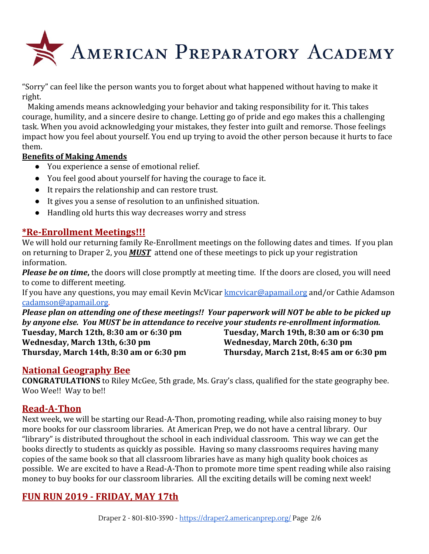

"Sorry" can feel like the person wants you to forget about what happened without having to make it right.

 Making amends means acknowledging your behavior and taking responsibility for it. This takes courage, humility, and a sincere desire to change. Letting go of pride and ego makes this a challenging task. When you avoid acknowledging your mistakes, they fester into guilt and remorse. Those feelings impact how you feel about yourself. You end up trying to avoid the other person because it hurts to face them.

#### **Benefits of Making Amends**

- You experience a sense of emotional relief.
- You feel good about yourself for having the courage to face it.
- It repairs the relationship and can restore trust.
- It gives you a sense of resolution to an unfinished situation.
- Handling old hurts this way decreases worry and stress

## **\*Re-Enrollment Meetings!!!**

We will hold our returning family Re-Enrollment meetings on the following dates and times. If you plan on returning to Draper 2, you *MUST* attend one of these meetings to pick up your registration information.

*Please be on time***,** the doors will close promptly at meeting time. If the doors are closed, you will need to come to different meeting.

If you have any questions, you may email Kevin McVicar [kmcvicar@apamail.org](mailto:kmcvicar@apamail.org) and/or Cathie Adamson [cadamson@apamail.org](mailto:cadamson@apamail.org).

*Please plan on attending one of these meetings!! Your paperwork will NOT be able to be picked up by anyone else. You MUST be in attendance to receive your students re-enrollment information.* **Tuesday, March 12th, 8:30 am or 6:30 pm Tuesday, March 19th, 8:30 am or 6:30 pm Wednesday, March 13th, 6:30 pm Wednesday, March 20th, 6:30 pm Thursday, March 14th, 8:30 am or 6:30 pm Thursday, March 21st, 8:45 am or 6:30 pm**

## **National Geography Bee**

**CONGRATULATIONS** to Riley McGee, 5th grade, Ms. Gray's class, qualified for the state geography bee. Woo Wee!! Way to be!!

## **Read-A-Thon**

Next week, we will be starting our Read-A-Thon, promoting reading, while also raising money to buy more books for our classroom libraries. At American Prep, we do not have a central library. Our "library" is distributed throughout the school in each individual classroom. This way we can get the books directly to students as quickly as possible. Having so many classrooms requires having many copies of the same book so that all classroom libraries have as many high quality book choices as possible. We are excited to have a Read-A-Thon to promote more time spent reading while also raising money to buy books for our classroom libraries. All the exciting details will be coming next week!

## **FUN RUN 2019 - FRIDAY, MAY 17th**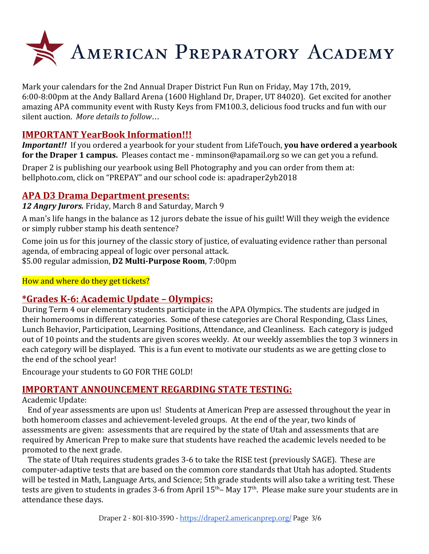

Mark your calendars for the 2nd Annual Draper District Fun Run on Friday, May 17th, 2019, 6:00-8:00pm at the Andy Ballard Arena (1600 Highland Dr, Draper, UT 84020). Get excited for another amazing APA community event with Rusty Keys from FM100.3, delicious food trucks and fun with our silent auction. *More details to follow*…

## **IMPORTANT YearBook Information!!!**

*Important!!* If you ordered a yearbook for your student from LifeTouch, **you have ordered a yearbook for the Draper 1 campus.** Pleases contact me - mminson@apamail.org so we can get you a refund.

Draper 2 is publishing our yearbook using Bell Photography and you can order from them at: [bellphoto.com,](http://bellphoto.com/) click on "PREPAY" and our school code is: apadraper2yb2018

## **APA D3 Drama Department presents:**

*12 Angry Jurors.* Friday, March 8 and Saturday, March 9

A man's life hangs in the balance as 12 jurors debate the issue of his guilt! Will they weigh the evidence or simply rubber stamp his death sentence?

Come join us for this journey of the classic story of justice, of evaluating evidence rather than personal agenda, of embracing appeal of logic over personal attack.

\$5.00 regular admission, **D2 Multi-Purpose Room**, 7:00pm

How and where do they get tickets?

## **\*Grades K-6: Academic Update – Olympics:**

During Term 4 our elementary students participate in the APA Olympics. The students are judged in their homerooms in different categories. Some of these categories are Choral Responding, Class Lines, Lunch Behavior, Participation, Learning Positions, Attendance, and Cleanliness. Each category is judged out of 10 points and the students are given scores weekly. At our weekly assemblies the top 3 winners in each category will be displayed. This is a fun event to motivate our students as we are getting close to the end of the school year!

Encourage your students to GO FOR THE GOLD!

## **IMPORTANT ANNOUNCEMENT REGARDING STATE TESTING:**

#### Academic Update:

 End of year assessments are upon us! Students at American Prep are assessed throughout the year in both homeroom classes and achievement-leveled groups. At the end of the year, two kinds of assessments are given: assessments that are required by the state of Utah and assessments that are required by American Prep to make sure that students have reached the academic levels needed to be promoted to the next grade.

 The state of Utah requires students grades 3-6 to take the RISE test (previously SAGE). These are computer-adaptive tests that are based on the common core standards that Utah has adopted. Students will be tested in Math, Language Arts, and Science; 5th grade students will also take a writing test. These tests are given to students in grades 3-6 from April 15<sup>th</sup>– May 17<sup>th</sup>. Please make sure your students are in attendance these days.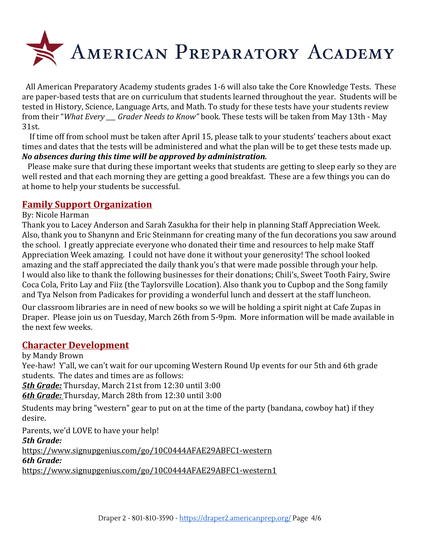

 All American Preparatory Academy students grades 1-6 will also take the Core Knowledge Tests. These are paper-based tests that are on curriculum that students learned throughout the year. Students will be tested in History, Science, Language Arts, and Math. To study for these tests have your students review from their "*What Every \_\_\_ Grader Needs to Know"* book. These tests will be taken from May 13th - May 31st.

 If time off from school must be taken after April 15, please talk to your students' teachers about exact times and dates that the tests will be administered and what the plan will be to get these tests made up. *No absences during this time will be approved by administration.*

 Please make sure that during these important weeks that students are getting to sleep early so they are well rested and that each morning they are getting a good breakfast. These are a few things you can do at home to help your students be successful.

## **Family Support Organization**

#### By: Nicole Harman

Thank you to Lacey Anderson and Sarah Zasukha for their help in planning Staff Appreciation Week. Also, thank you to Shanynn and Eric Steinmann for creating many of the fun decorations you saw around the school. I greatly appreciate everyone who donated their time and resources to help make Staff Appreciation Week amazing. I could not have done it without your generosity! The school looked amazing and the staff appreciated the daily thank you's that were made possible through your help. I would also like to thank the following businesses for their donations; Chili's, Sweet Tooth Fairy, Swire Coca Cola, Frito Lay and Fiiz (the Taylorsville Location). Also thank you to Cupbop and the Song family and Tya Nelson from Padicakes for providing a wonderful lunch and dessert at the staff luncheon.

Our classroom libraries are in need of new books so we will be holding a spirit night at Cafe Zupas in Draper. Please join us on Tuesday, March 26th from 5-9pm. More information will be made available in the next few weeks.

#### **Character Development**

#### by Mandy Brown

Yee-haw! Y'all, we can't wait for our upcoming Western Round Up events for our 5th and 6th grade students. The dates and times are as follows:

*5th Grade:* Thursday, March 21st from 12:30 until 3:00

*6th Grade:* Thursday, March 28th from 12:30 until 3:00

Students may bring "western" gear to put on at the time of the party (bandana, cowboy hat) if they desire.

Parents, we'd LOVE to have your help!

*5th Grade:*

<https://www.signupgenius.com/go/10C0444AFAE29ABFC1-western> *6th Grade:* <https://www.signupgenius.com/go/10C0444AFAE29ABFC1-western1>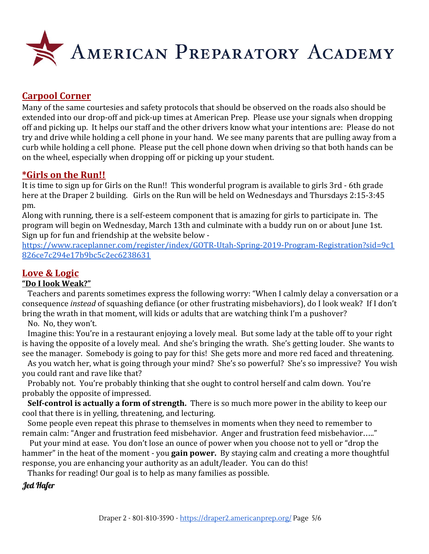

## **Carpool Corner**

Many of the same courtesies and safety protocols that should be observed on the roads also should be extended into our drop-off and pick-up times at American Prep. Please use your signals when dropping off and picking up. It helps our staff and the other drivers know what your intentions are: Please do not try and drive while holding a cell phone in your hand. We see many parents that are pulling away from a curb while holding a cell phone. Please put the cell phone down when driving so that both hands can be on the wheel, especially when dropping off or picking up your student.

#### **\*Girls on the Run!!**

It is time to sign up for Girls on the Run!! This wonderful program is available to girls 3rd - 6th grade here at the Draper 2 building. Girls on the Run will be held on Wednesdays and Thursdays 2:15-3:45 pm.

Along with running, there is a self-esteem component that is amazing for girls to participate in. The program will begin on Wednesday, March 13th and culminate with a buddy run on or about June 1st. Sign up for fun and friendship at the website below -

[https://www.raceplanner.com/register/index/GOTR-Utah-Spring-2019-Program-Registration?sid=9c1](https://www.raceplanner.com/register/index/GOTR-Utah-Spring-2019-Program-Registration?sid=9c1826ce7c294e17b9bc5c2ec6238631) [826ce7c294e17b9bc5c2ec6238631](https://www.raceplanner.com/register/index/GOTR-Utah-Spring-2019-Program-Registration?sid=9c1826ce7c294e17b9bc5c2ec6238631)

## **Love & Logic**

#### **"Do I look Weak?"**

 Teachers and parents sometimes express the following worry: "When I calmly delay a conversation or a consequence *instead* of squashing defiance (or other frustrating misbehaviors), do I look weak? If I don't bring the wrath in that moment, will kids or adults that are watching think I'm a pushover?

No. No, they won't.

 Imagine this: You're in a restaurant enjoying a lovely meal. But some lady at the table off to your right is having the opposite of a lovely meal. And she's bringing the wrath. She's getting louder. She wants to see the manager. Somebody is going to pay for this! She gets more and more red faced and threatening.

 As you watch her, what is going through your mind? She's so powerful? She's so impressive? You wish you could rant and rave like that?

 Probably not. You're probably thinking that she ought to control herself and calm down. You're probably the opposite of impressed.

 **Self-control is actually a form of strength.** There is so much more power in the ability to keep our cool that there is in yelling, threatening, and lecturing.

 Some people even repeat this phrase to themselves in moments when they need to remember to remain calm: "Anger and frustration feed misbehavior. Anger and frustration feed misbehavior….."

 Put your mind at ease. You don't lose an ounce of power when you choose not to yell or "drop the hammer" in the heat of the moment - you **gain power.** By staying calm and creating a more thoughtful response, you are enhancing your authority as an adult/leader. You can do this!

Thanks for reading! Our goal is to help as many families as possible.

Jed Hafer